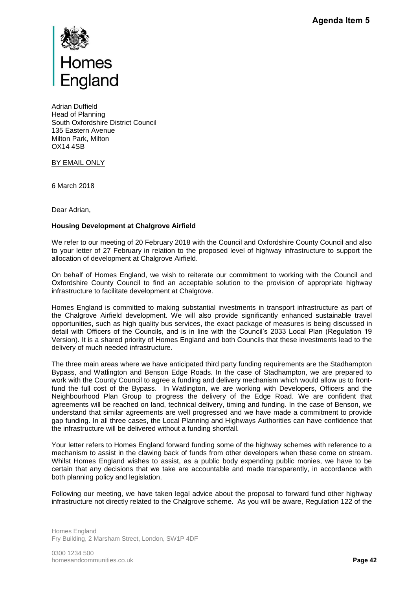

Adrian Duffield Head of Planning South Oxfordshire District Council 135 Eastern Avenue Milton Park, Milton OX14 4SB

BY EMAIL ONLY

6 March 2018

Dear Adrian,

## **Housing Development at Chalgrove Airfield**

We refer to our meeting of 20 February 2018 with the Council and Oxfordshire County Council and also to your letter of 27 February in relation to the proposed level of highway infrastructure to support the allocation of development at Chalgrove Airfield.

On behalf of Homes England, we wish to reiterate our commitment to working with the Council and Oxfordshire County Council to find an acceptable solution to the provision of appropriate highway infrastructure to facilitate development at Chalgrove.

Homes England is committed to making substantial investments in transport infrastructure as part of the Chalgrove Airfield development. We will also provide significantly enhanced sustainable travel opportunities, such as high quality bus services, the exact package of measures is being discussed in detail with Officers of the Councils, and is in line with the Council's 2033 Local Plan (Regulation 19 Version). It is a shared priority of Homes England and both Councils that these investments lead to the delivery of much needed infrastructure.

The three main areas where we have anticipated third party funding requirements are the Stadhampton Bypass, and Watlington and Benson Edge Roads. In the case of Stadhampton, we are prepared to work with the County Council to agree a funding and delivery mechanism which would allow us to frontfund the full cost of the Bypass. In Watlington, we are working with Developers, Officers and the Neighbourhood Plan Group to progress the delivery of the Edge Road. We are confident that agreements will be reached on land, technical delivery, timing and funding. In the case of Benson, we understand that similar agreements are well progressed and we have made a commitment to provide gap funding. In all three cases, the Local Planning and Highways Authorities can have confidence that the infrastructure will be delivered without a funding shortfall. Agenda Item 5<br>ty Council and also<br>ture to support the<br>tith the Council and<br>ppropriate highway<br>structure as part of<br>sustainable travel<br>being discussed in<br>stments lead to the<br>e the Stadhampton<br>we are prepared to<br>we are prepa

Your letter refers to Homes England forward funding some of the highway schemes with reference to a mechanism to assist in the clawing back of funds from other developers when these come on stream. Whilst Homes England wishes to assist, as a public body expending public monies, we have to be certain that any decisions that we take are accountable and made transparently, in accordance with both planning policy and legislation.

Following our meeting, we have taken legal advice about the proposal to forward fund other highway infrastructure not directly related to the Chalgrove scheme. As you will be aware, Regulation 122 of the

Homes England Fry Building, 2 Marsham Street, London, SW1P 4DF